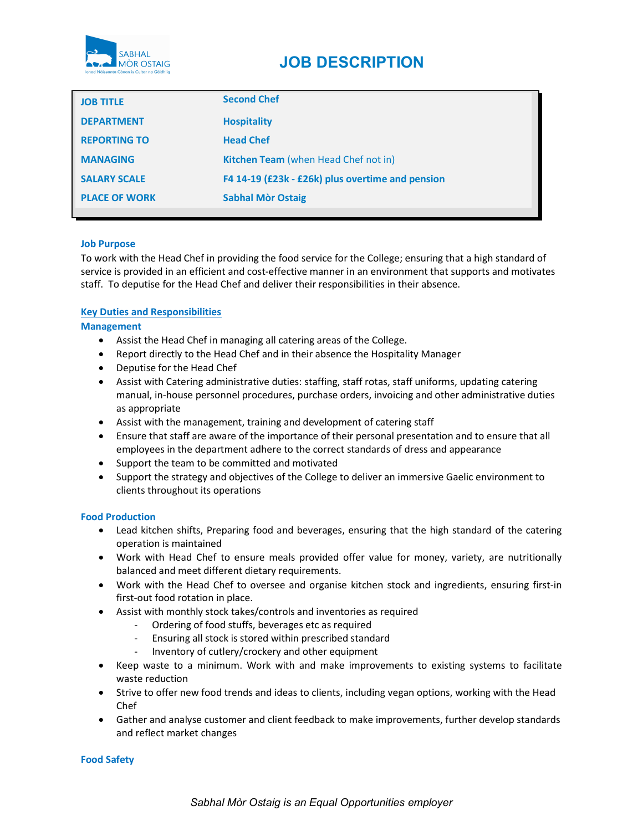

| <b>JOB TITLE</b>     | <b>Second Chef</b>                               |
|----------------------|--------------------------------------------------|
| <b>DEPARTMENT</b>    | <b>Hospitality</b>                               |
| <b>REPORTING TO</b>  | <b>Head Chef</b>                                 |
| <b>MANAGING</b>      | Kitchen Team (when Head Chef not in)             |
| <b>SALARY SCALE</b>  | F4 14-19 (£23k - £26k) plus overtime and pension |
| <b>PLACE OF WORK</b> | <b>Sabhal Mòr Ostaig</b>                         |
|                      |                                                  |

# Job Purpose

To work with the Head Chef in providing the food service for the College; ensuring that a high standard of service is provided in an efficient and cost-effective manner in an environment that supports and motivates staff. To deputise for the Head Chef and deliver their responsibilities in their absence.

# Key Duties and Responsibilities

Management

- Assist the Head Chef in managing all catering areas of the College.
- Report directly to the Head Chef and in their absence the Hospitality Manager
- Deputise for the Head Chef
- Assist with Catering administrative duties: staffing, staff rotas, staff uniforms, updating catering manual, in-house personnel procedures, purchase orders, invoicing and other administrative duties as appropriate
- Assist with the management, training and development of catering staff
- Ensure that staff are aware of the importance of their personal presentation and to ensure that all employees in the department adhere to the correct standards of dress and appearance
- Support the team to be committed and motivated
- Support the strategy and objectives of the College to deliver an immersive Gaelic environment to clients throughout its operations

#### Food Production

- Lead kitchen shifts, Preparing food and beverages, ensuring that the high standard of the catering operation is maintained
- Work with Head Chef to ensure meals provided offer value for money, variety, are nutritionally balanced and meet different dietary requirements.
- Work with the Head Chef to oversee and organise kitchen stock and ingredients, ensuring first-in first-out food rotation in place.
- Assist with monthly stock takes/controls and inventories as required
	- Ordering of food stuffs, beverages etc as required
	- Ensuring all stock is stored within prescribed standard
	- Inventory of cutlery/crockery and other equipment
- Keep waste to a minimum. Work with and make improvements to existing systems to facilitate waste reduction
- Strive to offer new food trends and ideas to clients, including vegan options, working with the Head Chef
- Gather and analyse customer and client feedback to make improvements, further develop standards and reflect market changes

#### Food Safety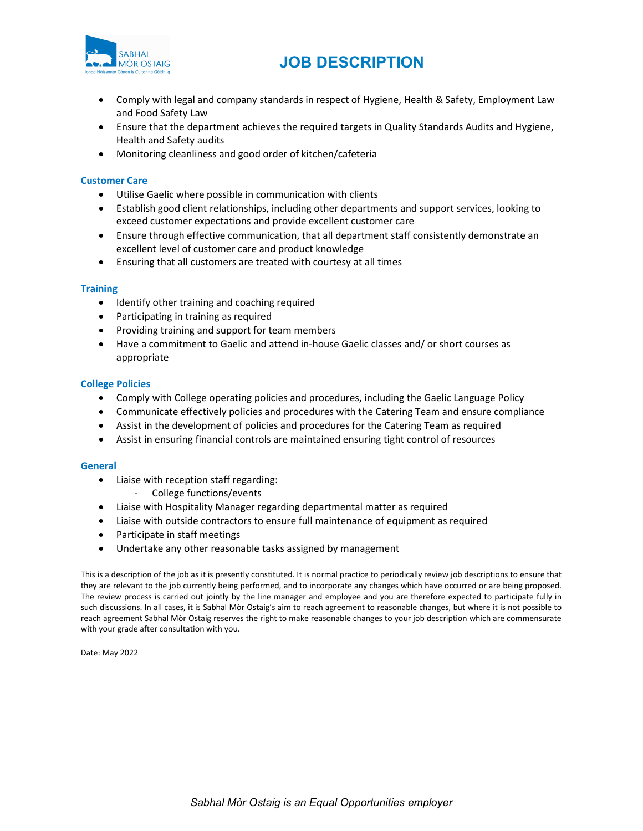

- Comply with legal and company standards in respect of Hygiene, Health & Safety, Employment Law and Food Safety Law
- Ensure that the department achieves the required targets in Quality Standards Audits and Hygiene, Health and Safety audits
- Monitoring cleanliness and good order of kitchen/cafeteria

### Customer Care

- Utilise Gaelic where possible in communication with clients
- Establish good client relationships, including other departments and support services, looking to exceed customer expectations and provide excellent customer care
- Ensure through effective communication, that all department staff consistently demonstrate an excellent level of customer care and product knowledge
- Ensuring that all customers are treated with courtesy at all times

### **Training**

- Identify other training and coaching required
- Participating in training as required
- Providing training and support for team members
- Have a commitment to Gaelic and attend in-house Gaelic classes and/ or short courses as appropriate

# College Policies

- Comply with College operating policies and procedures, including the Gaelic Language Policy
- Communicate effectively policies and procedures with the Catering Team and ensure compliance
- Assist in the development of policies and procedures for the Catering Team as required
- Assist in ensuring financial controls are maintained ensuring tight control of resources

#### **General**

- Liaise with reception staff regarding:
	- College functions/events
- Liaise with Hospitality Manager regarding departmental matter as required
- Liaise with outside contractors to ensure full maintenance of equipment as required
- Participate in staff meetings
- Undertake any other reasonable tasks assigned by management

This is a description of the job as it is presently constituted. It is normal practice to periodically review job descriptions to ensure that they are relevant to the job currently being performed, and to incorporate any changes which have occurred or are being proposed. The review process is carried out jointly by the line manager and employee and you are therefore expected to participate fully in such discussions. In all cases, it is Sabhal Mòr Ostaig's aim to reach agreement to reasonable changes, but where it is not possible to reach agreement Sabhal Mòr Ostaig reserves the right to make reasonable changes to your job description which are commensurate with your grade after consultation with you.

Date: May 2022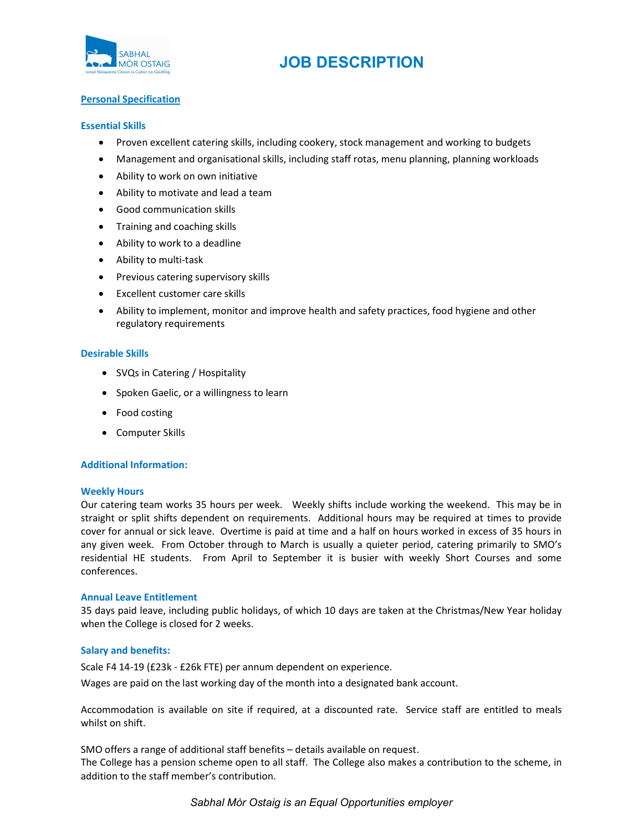

# Personal Specification

### Essential Skills

- Proven excellent catering skills, including cookery, stock management and working to budgets
- Management and organisational skills, including staff rotas, menu planning, planning workloads
- Ability to work on own initiative
- Ability to motivate and lead a team
- Good communication skills
- Training and coaching skills
- Ability to work to a deadline
- Ability to multi-task
- Previous catering supervisory skills
- Excellent customer care skills
- Ability to implement, monitor and improve health and safety practices, food hygiene and other regulatory requirements

# Desirable Skills

- SVQs in Catering / Hospitality
- Spoken Gaelic, or a willingness to learn
- Food costing
- Computer Skills

# Additional Information:

### Weekly Hours

Our catering team works 35 hours per week. Weekly shifts include working the weekend. This may be in straight or split shifts dependent on requirements. Additional hours may be required at times to provide cover for annual or sick leave. Overtime is paid at time and a half on hours worked in excess of 35 hours in any given week. From October through to March is usually a quieter period, catering primarily to SMO's residential HE students. From April to September it is busier with weekly Short Courses and some conferences.

# Annual Leave Entitlement

35 days paid leave, including public holidays, of which 10 days are taken at the Christmas/New Year holiday when the College is closed for 2 weeks.

#### Salary and benefits:

Scale F4 14-19 (£23k - £26k FTE) per annum dependent on experience. Wages are paid on the last working day of the month into a designated bank account.

Accommodation is available on site if required, at a discounted rate. Service staff are entitled to meals whilst on shift.

SMO offers a range of additional staff benefits – details available on request. The College has a pension scheme open to all staff. The College also makes a contribution to the scheme, in addition to the staff member's contribution.

Sabhal Mòr Ostaig is an Equal Opportunities employer